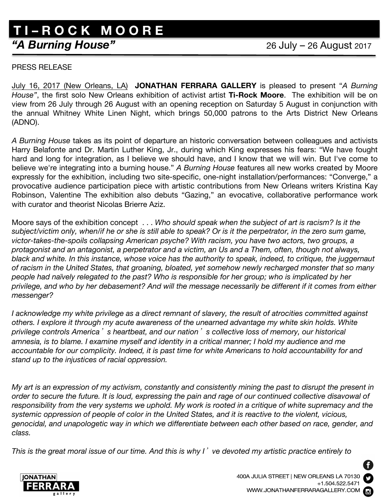## **"A Burning House"** 26 July – 26 August 2017 **T I – R O C K M O O R E**

## PRESS RELEASE

July 16, 2017 (New Orleans, LA) **JONATHAN FERRARA GALLERY** is pleased to present "*A Burning House"*, the first solo New Orleans exhibition of activist artist **Ti-Rock Moore**. The exhibition will be on view from 26 July through 26 August with an opening reception on Saturday 5 August in conjunction with the annual Whitney White Linen Night, which brings 50,000 patrons to the Arts District New Orleans (ADNO).

*A Burning House* takes as its point of departure an historic conversation between colleagues and activists Harry Belafonte and Dr. Martin Luther King, Jr., during which King expresses his fears: "We have fought hard and long for integration, as I believe we should have, and I know that we will win. But I've come to believe we're integrating into a burning house." *A Burning House* features all new works created by Moore expressly for the exhibition, including two site-specific, one-night installation/performances: "Converge," a provocative audience participation piece with artistic contributions from New Orleans writers Kristina Kay Robinson, Valentine The exhibition also debuts "Gazing," an evocative, collaborative performance work with curator and theorist Nicolas Brierre Aziz.

Moore says of the exhibition concept . . . *Who should speak when the subject of art is racism? Is it the*  subject/victim only, when/if he or she is still able to speak? Or is it the perpetrator, in the zero sum game, *victor-takes-the-spoils collapsing American psyche? With racism, you have two actors, two groups, a protagonist and an antagonist, a perpetrator and a victim, an Us and a Them, often, though not always, black and white. In this instance, whose voice has the authority to speak, indeed, to critique, the juggernaut of racism in the United States, that groaning, bloated, yet somehow newly recharged monster that so many people had naïvely relegated to the past? Who is responsible for her group; who is implicated by her privilege, and who by her debasement? And will the message necessarily be different if it comes from either messenger?*

*I acknowledge my white privilege as a direct remnant of slavery, the result of atrocities committed against others. I explore it through my acute awareness of the unearned advantage my white skin holds. White privilege controls America*'*s heartbeat, and our nation*'*s collective loss of memory, our historical amnesia, is to blame. I examine myself and identity in a critical manner; I hold my audience and me accountable for our complicity. Indeed, it is past time for white Americans to hold accountability for and stand up to the injustices of racial oppression.*

*My art is an expression of my activism, constantly and consistently mining the past to disrupt the present in order to secure the future. It is loud, expressing the pain and rage of our continued collective disavowal of responsibility from the very systems we uphold. My work is rooted in a critique of white supremacy and the systemic oppression of people of color in the United States, and it is reactive to the violent, vicious, genocidal, and unapologetic way in which we differentiate between each other based on race, gender, and class.*

*This is the great moral issue of our time. And this is why I*'*ve devoted my artistic practice entirely to*